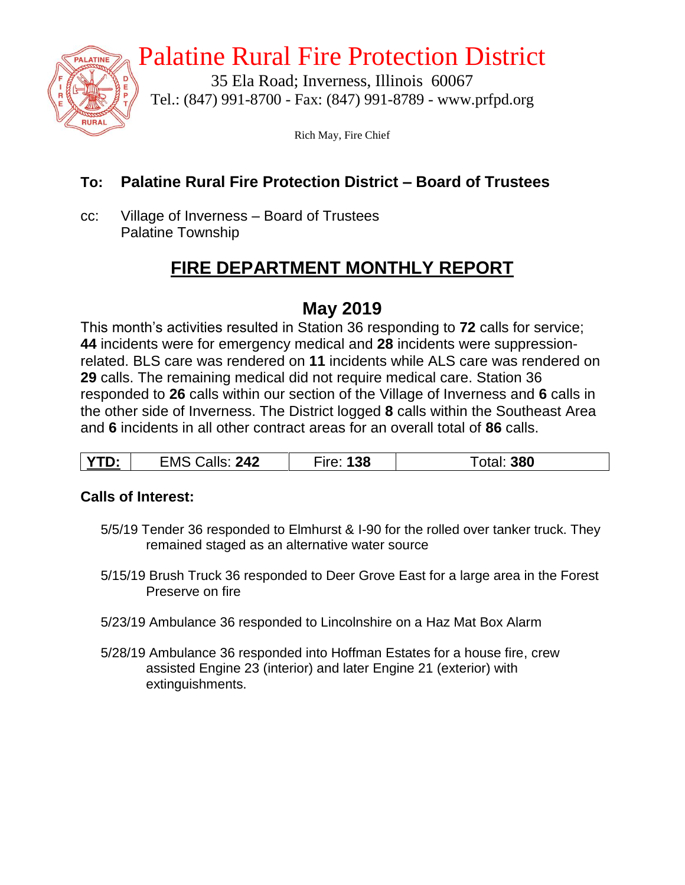

# Palatine Rural Fire Protection District

35 Ela Road; Inverness, Illinois 60067 Tel.: (847) 991-8700 - Fax: (847) 991-8789 - www.prfpd.org

Rich May, Fire Chief

#### **To: Palatine Rural Fire Protection District – Board of Trustees**

cc: Village of Inverness – Board of Trustees Palatine Township

### **FIRE DEPARTMENT MONTHLY REPORT**

### **May 2019**

This month's activities resulted in Station 36 responding to **72** calls for service; **44** incidents were for emergency medical and **28** incidents were suppressionrelated. BLS care was rendered on **11** incidents while ALS care was rendered on **29** calls. The remaining medical did not require medical care. Station 36 responded to **26** calls within our section of the Village of Inverness and **6** calls in the other side of Inverness. The District logged **8** calls within the Southeast Area and **6** incidents in all other contract areas for an overall total of **86** calls.

| $\sim$<br><u>.</u> | 242<br>EMS<br>alls:<br>_______ | າດ<br>סכ | 380 |
|--------------------|--------------------------------|----------|-----|
|--------------------|--------------------------------|----------|-----|

#### **Calls of Interest:**

- 5/5/19 Tender 36 responded to Elmhurst & I-90 for the rolled over tanker truck. They remained staged as an alternative water source
- 5/15/19 Brush Truck 36 responded to Deer Grove East for a large area in the Forest Preserve on fire
- 5/23/19 Ambulance 36 responded to Lincolnshire on a Haz Mat Box Alarm
- 5/28/19 Ambulance 36 responded into Hoffman Estates for a house fire, crew assisted Engine 23 (interior) and later Engine 21 (exterior) with extinguishments.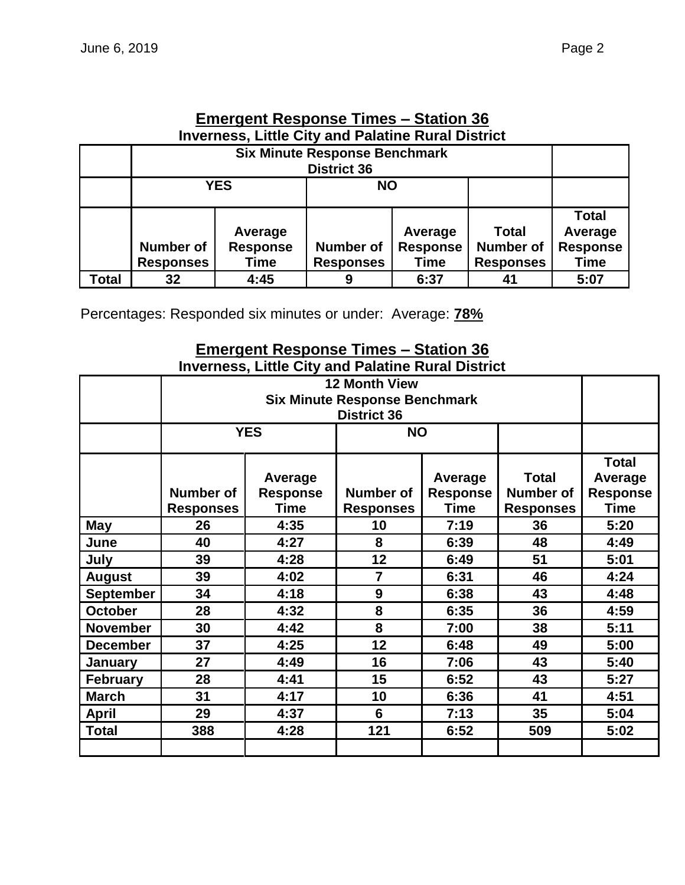| <b>Emergent Response Times – Station 36</b>               |  |
|-----------------------------------------------------------|--|
| <b>Inverness. Little City and Palatine Rural District</b> |  |

|       | <b>Six Minute Response Benchmark</b><br><b>District 36</b>         |                         |                  |                 |                  |                 |  |  |
|-------|--------------------------------------------------------------------|-------------------------|------------------|-----------------|------------------|-----------------|--|--|
|       |                                                                    |                         |                  |                 |                  |                 |  |  |
|       |                                                                    | <b>YES</b><br><b>NO</b> |                  |                 |                  |                 |  |  |
|       |                                                                    |                         |                  |                 |                  | <b>Total</b>    |  |  |
|       |                                                                    | Average                 |                  | Average         | <b>Total</b>     | Average         |  |  |
|       | <b>Number of</b>                                                   | <b>Response</b>         | <b>Number of</b> | <b>Response</b> | <b>Number of</b> | <b>Response</b> |  |  |
|       | <b>Time</b><br><b>Time</b><br><b>Responses</b><br><b>Responses</b> |                         |                  |                 | <b>Responses</b> | <b>Time</b>     |  |  |
| Total | 32                                                                 | 4:45                    | 9                | 6:37            | 41               | 5:07            |  |  |

Percentages: Responded six minutes or under: Average: **78%**

#### **Emergent Response Times – Station 36 Inverness, Little City and Palatine Rural District**

|                  |                          |                   | <b>District 36</b> |                 |                  |                 |
|------------------|--------------------------|-------------------|--------------------|-----------------|------------------|-----------------|
|                  |                          | <b>YES</b>        | <b>NO</b>          |                 |                  |                 |
|                  |                          |                   |                    |                 |                  | <b>Total</b>    |
|                  |                          | Average           |                    | Average         | <b>Total</b>     | Average         |
|                  | <b>Number of</b>         | <b>Response</b>   | <b>Number of</b>   | <b>Response</b> | <b>Number of</b> | <b>Response</b> |
|                  | <b>Responses</b>         | <b>Time</b>       | <b>Responses</b>   | <b>Time</b>     | <b>Responses</b> | <b>Time</b>     |
| May              | 26                       | 4:35              | 10                 | 7:19            | 36               | 5:20            |
| June             | 40                       | 8<br>4:27<br>6:39 |                    | 48              | 4:49             |                 |
| July             | 39                       | 4:28              | 12<br>6:49         |                 | 51               | 5:01            |
| <b>August</b>    | 39                       | 4:02              |                    | 6:31            | 46               | 4:24            |
| <b>September</b> | 34                       | 4:18              | 9                  | 6:38            | 43               | 4:48            |
| <b>October</b>   | 28                       | 4:32              | 8                  | 6:35            | 36               | 4:59            |
| <b>November</b>  | 30                       | 4:42              | 8                  | 7:00            | 38               | 5:11            |
| <b>December</b>  | 37                       | 4:25              | 12                 | 6:48            | 49               | 5:00            |
| <b>January</b>   | 16<br>27<br>4:49<br>7:06 |                   | 43                 | 5:40            |                  |                 |
| February         | 28<br>4:41               |                   | 15                 | 6:52            | 43               | 5:27            |
| <b>March</b>     | 31                       | 4:17              | 10                 | 6:36            | 41               | 4:51            |
| <b>April</b>     | 29                       | 4:37              | 6                  | 7:13            | 35               | 5:04            |
| <b>Total</b>     | 388                      | 4:28              | 121                | 6:52            | 509              | 5:02            |
|                  |                          |                   |                    |                 |                  |                 |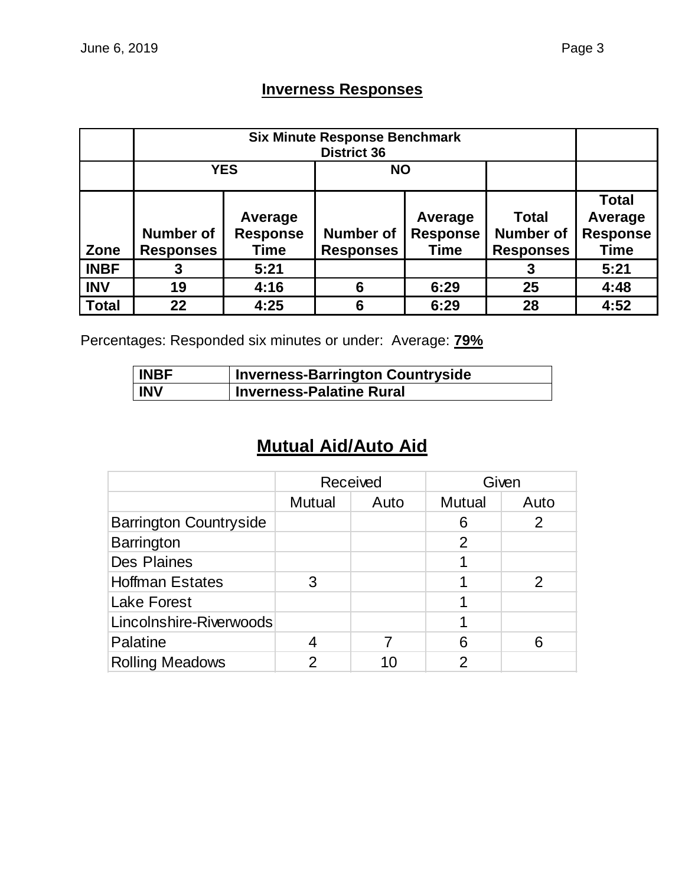### **Inverness Responses**

|              | <b>Six Minute Response Benchmark</b><br><b>District 36</b>                                                         |      |   |                                           |                                                      |                                                           |  |
|--------------|--------------------------------------------------------------------------------------------------------------------|------|---|-------------------------------------------|------------------------------------------------------|-----------------------------------------------------------|--|
|              | <b>YES</b>                                                                                                         |      |   |                                           |                                                      |                                                           |  |
| Zone         | Average<br><b>Response</b><br><b>Number of</b><br><b>Number of</b><br>Time<br><b>Responses</b><br><b>Responses</b> |      |   | Average<br><b>Response</b><br><b>Time</b> | <b>Total</b><br><b>Number of</b><br><b>Responses</b> | <b>Total</b><br>Average<br><b>Response</b><br><b>Time</b> |  |
| <b>INBF</b>  | 3                                                                                                                  | 5:21 |   |                                           | 3                                                    | 5:21                                                      |  |
| <b>INV</b>   | 19                                                                                                                 | 4:16 | 6 | 6:29                                      | 25                                                   | 4:48                                                      |  |
| <b>Total</b> | 22                                                                                                                 | 4:25 | 6 | 6:29                                      | 28                                                   | 4:52                                                      |  |

Percentages: Responded six minutes or under: Average: **79%**

| <b>INBF</b> | Inverness-Barrington Countryside |
|-------------|----------------------------------|
| <b>INV</b>  | <b>Inverness-Palatine Rural</b>  |

## **Mutual Aid/Auto Aid**

|                               | Received      |      | Given         |      |
|-------------------------------|---------------|------|---------------|------|
|                               | <b>Mutual</b> | Auto | <b>Mutual</b> | Auto |
| <b>Barrington Countryside</b> |               |      | 6             | 2    |
| <b>Barrington</b>             |               |      | 2             |      |
| <b>Des Plaines</b>            |               |      |               |      |
| <b>Hoffman Estates</b>        | 3             |      |               |      |
| <b>Lake Forest</b>            |               |      |               |      |
| Lincolnshire-Riverwoods       |               |      |               |      |
| Palatine                      | 4             |      | 6             |      |
| <b>Rolling Meadows</b>        | າ             | 10   | ႒             |      |